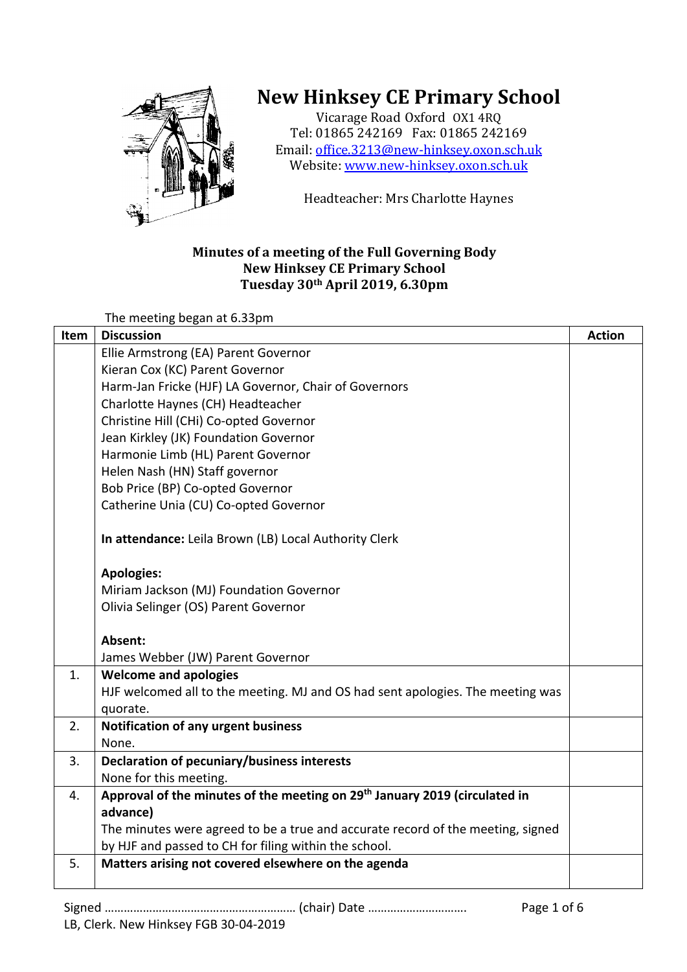

## **New Hinksey CE Primary School**

Vicarage Road Oxford OX1 4RQ Tel: 01865 242169 Fax: 01865 242169 Email: office.3213@new-hinksey.oxon.sch.uk Website: www.new-hinksey.oxon.sch.uk

Headteacher: Mrs Charlotte Haynes

## **Minutes of a meeting of the Full Governing Body New Hinksey CE Primary School Tuesday 30th April 2019, 6.30pm**

The meeting began at 6.33pm

| Item | <b>Discussion</b>                                                                      | <b>Action</b> |
|------|----------------------------------------------------------------------------------------|---------------|
|      | Ellie Armstrong (EA) Parent Governor                                                   |               |
|      | Kieran Cox (KC) Parent Governor                                                        |               |
|      | Harm-Jan Fricke (HJF) LA Governor, Chair of Governors                                  |               |
|      | Charlotte Haynes (CH) Headteacher                                                      |               |
|      | Christine Hill (CHi) Co-opted Governor                                                 |               |
|      | Jean Kirkley (JK) Foundation Governor                                                  |               |
|      | Harmonie Limb (HL) Parent Governor                                                     |               |
|      | Helen Nash (HN) Staff governor                                                         |               |
|      | Bob Price (BP) Co-opted Governor                                                       |               |
|      | Catherine Unia (CU) Co-opted Governor                                                  |               |
|      | In attendance: Leila Brown (LB) Local Authority Clerk                                  |               |
|      | <b>Apologies:</b>                                                                      |               |
|      | Miriam Jackson (MJ) Foundation Governor                                                |               |
|      | Olivia Selinger (OS) Parent Governor                                                   |               |
|      | Absent:                                                                                |               |
|      | James Webber (JW) Parent Governor                                                      |               |
| 1.   | <b>Welcome and apologies</b>                                                           |               |
|      | HJF welcomed all to the meeting. MJ and OS had sent apologies. The meeting was         |               |
|      | quorate.                                                                               |               |
| 2.   | <b>Notification of any urgent business</b>                                             |               |
|      | None.                                                                                  |               |
| 3.   | Declaration of pecuniary/business interests                                            |               |
|      | None for this meeting.                                                                 |               |
| 4.   | Approval of the minutes of the meeting on 29 <sup>th</sup> January 2019 (circulated in |               |
|      | advance)                                                                               |               |
|      | The minutes were agreed to be a true and accurate record of the meeting, signed        |               |
|      | by HJF and passed to CH for filing within the school.                                  |               |
| 5.   | Matters arising not covered elsewhere on the agenda                                    |               |
|      |                                                                                        |               |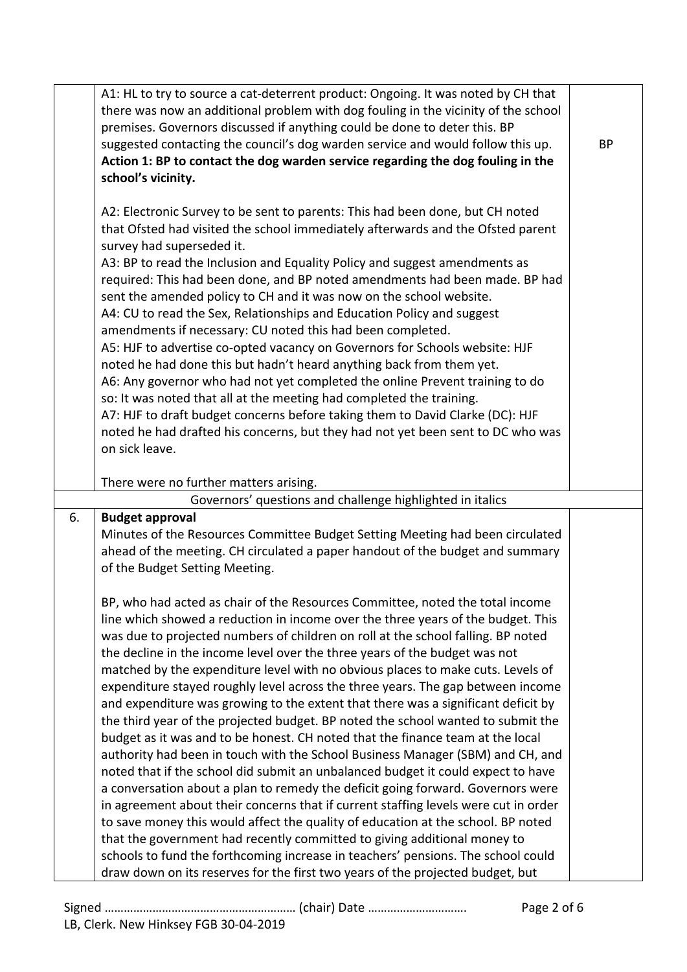|    | A1: HL to try to source a cat-deterrent product: Ongoing. It was noted by CH that   |           |
|----|-------------------------------------------------------------------------------------|-----------|
|    | there was now an additional problem with dog fouling in the vicinity of the school  |           |
|    | premises. Governors discussed if anything could be done to deter this. BP           |           |
|    | suggested contacting the council's dog warden service and would follow this up.     | <b>BP</b> |
|    | Action 1: BP to contact the dog warden service regarding the dog fouling in the     |           |
|    | school's vicinity.                                                                  |           |
|    |                                                                                     |           |
|    |                                                                                     |           |
|    | A2: Electronic Survey to be sent to parents: This had been done, but CH noted       |           |
|    | that Ofsted had visited the school immediately afterwards and the Ofsted parent     |           |
|    | survey had superseded it.                                                           |           |
|    | A3: BP to read the Inclusion and Equality Policy and suggest amendments as          |           |
|    | required: This had been done, and BP noted amendments had been made. BP had         |           |
|    | sent the amended policy to CH and it was now on the school website.                 |           |
|    | A4: CU to read the Sex, Relationships and Education Policy and suggest              |           |
|    | amendments if necessary: CU noted this had been completed.                          |           |
|    | A5: HJF to advertise co-opted vacancy on Governors for Schools website: HJF         |           |
|    | noted he had done this but hadn't heard anything back from them yet.                |           |
|    | A6: Any governor who had not yet completed the online Prevent training to do        |           |
|    | so: It was noted that all at the meeting had completed the training.                |           |
|    | A7: HJF to draft budget concerns before taking them to David Clarke (DC): HJF       |           |
|    | noted he had drafted his concerns, but they had not yet been sent to DC who was     |           |
|    | on sick leave.                                                                      |           |
|    |                                                                                     |           |
|    | There were no further matters arising.                                              |           |
|    | Governors' questions and challenge highlighted in italics                           |           |
| 6. | <b>Budget approval</b>                                                              |           |
|    | Minutes of the Resources Committee Budget Setting Meeting had been circulated       |           |
|    | ahead of the meeting. CH circulated a paper handout of the budget and summary       |           |
|    | of the Budget Setting Meeting.                                                      |           |
|    |                                                                                     |           |
|    | BP, who had acted as chair of the Resources Committee, noted the total income       |           |
|    |                                                                                     |           |
|    | line which showed a reduction in income over the three years of the budget. This    |           |
|    | was due to projected numbers of children on roll at the school falling. BP noted    |           |
|    | the decline in the income level over the three years of the budget was not          |           |
|    | matched by the expenditure level with no obvious places to make cuts. Levels of     |           |
|    | expenditure stayed roughly level across the three years. The gap between income     |           |
|    | and expenditure was growing to the extent that there was a significant deficit by   |           |
|    | the third year of the projected budget. BP noted the school wanted to submit the    |           |
|    | budget as it was and to be honest. CH noted that the finance team at the local      |           |
|    | authority had been in touch with the School Business Manager (SBM) and CH, and      |           |
|    | noted that if the school did submit an unbalanced budget it could expect to have    |           |
|    | a conversation about a plan to remedy the deficit going forward. Governors were     |           |
|    | in agreement about their concerns that if current staffing levels were cut in order |           |
|    | to save money this would affect the quality of education at the school. BP noted    |           |
|    | that the government had recently committed to giving additional money to            |           |
|    | schools to fund the forthcoming increase in teachers' pensions. The school could    |           |
|    | draw down on its reserves for the first two years of the projected budget, but      |           |
|    |                                                                                     |           |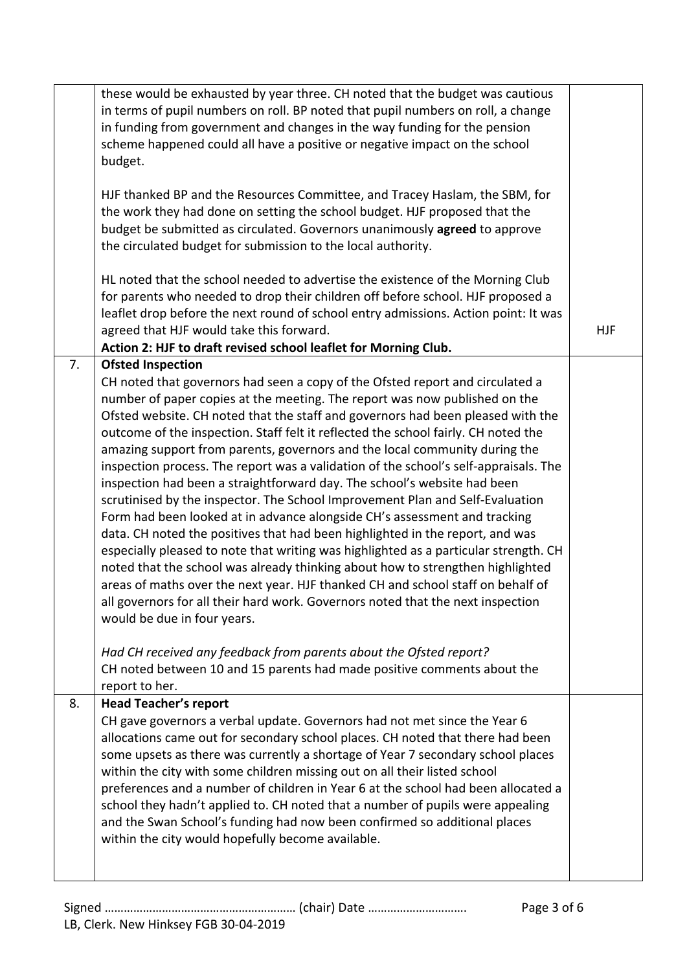|    | these would be exhausted by year three. CH noted that the budget was cautious<br>in terms of pupil numbers on roll. BP noted that pupil numbers on roll, a change<br>in funding from government and changes in the way funding for the pension<br>scheme happened could all have a positive or negative impact on the school<br>budget.                                                                                                                                                                                                                                                                                                                                                                                                                                                                                                                                                                                                                                                                                                                                                                                                                                                                                                                                                                                                                                                                             |            |
|----|---------------------------------------------------------------------------------------------------------------------------------------------------------------------------------------------------------------------------------------------------------------------------------------------------------------------------------------------------------------------------------------------------------------------------------------------------------------------------------------------------------------------------------------------------------------------------------------------------------------------------------------------------------------------------------------------------------------------------------------------------------------------------------------------------------------------------------------------------------------------------------------------------------------------------------------------------------------------------------------------------------------------------------------------------------------------------------------------------------------------------------------------------------------------------------------------------------------------------------------------------------------------------------------------------------------------------------------------------------------------------------------------------------------------|------------|
|    | HJF thanked BP and the Resources Committee, and Tracey Haslam, the SBM, for<br>the work they had done on setting the school budget. HJF proposed that the<br>budget be submitted as circulated. Governors unanimously agreed to approve<br>the circulated budget for submission to the local authority.                                                                                                                                                                                                                                                                                                                                                                                                                                                                                                                                                                                                                                                                                                                                                                                                                                                                                                                                                                                                                                                                                                             |            |
|    | HL noted that the school needed to advertise the existence of the Morning Club<br>for parents who needed to drop their children off before school. HJF proposed a<br>leaflet drop before the next round of school entry admissions. Action point: It was<br>agreed that HJF would take this forward.<br>Action 2: HJF to draft revised school leaflet for Morning Club.                                                                                                                                                                                                                                                                                                                                                                                                                                                                                                                                                                                                                                                                                                                                                                                                                                                                                                                                                                                                                                             | <b>HJF</b> |
| 7. | <b>Ofsted Inspection</b><br>CH noted that governors had seen a copy of the Ofsted report and circulated a<br>number of paper copies at the meeting. The report was now published on the<br>Ofsted website. CH noted that the staff and governors had been pleased with the<br>outcome of the inspection. Staff felt it reflected the school fairly. CH noted the<br>amazing support from parents, governors and the local community during the<br>inspection process. The report was a validation of the school's self-appraisals. The<br>inspection had been a straightforward day. The school's website had been<br>scrutinised by the inspector. The School Improvement Plan and Self-Evaluation<br>Form had been looked at in advance alongside CH's assessment and tracking<br>data. CH noted the positives that had been highlighted in the report, and was<br>especially pleased to note that writing was highlighted as a particular strength. CH<br>noted that the school was already thinking about how to strengthen highlighted<br>areas of maths over the next year. HJF thanked CH and school staff on behalf of<br>all governors for all their hard work. Governors noted that the next inspection<br>would be due in four years.<br>Had CH received any feedback from parents about the Ofsted report?<br>CH noted between 10 and 15 parents had made positive comments about the<br>report to her. |            |
| 8. | <b>Head Teacher's report</b><br>CH gave governors a verbal update. Governors had not met since the Year 6<br>allocations came out for secondary school places. CH noted that there had been<br>some upsets as there was currently a shortage of Year 7 secondary school places<br>within the city with some children missing out on all their listed school<br>preferences and a number of children in Year 6 at the school had been allocated a<br>school they hadn't applied to. CH noted that a number of pupils were appealing<br>and the Swan School's funding had now been confirmed so additional places<br>within the city would hopefully become available.                                                                                                                                                                                                                                                                                                                                                                                                                                                                                                                                                                                                                                                                                                                                                |            |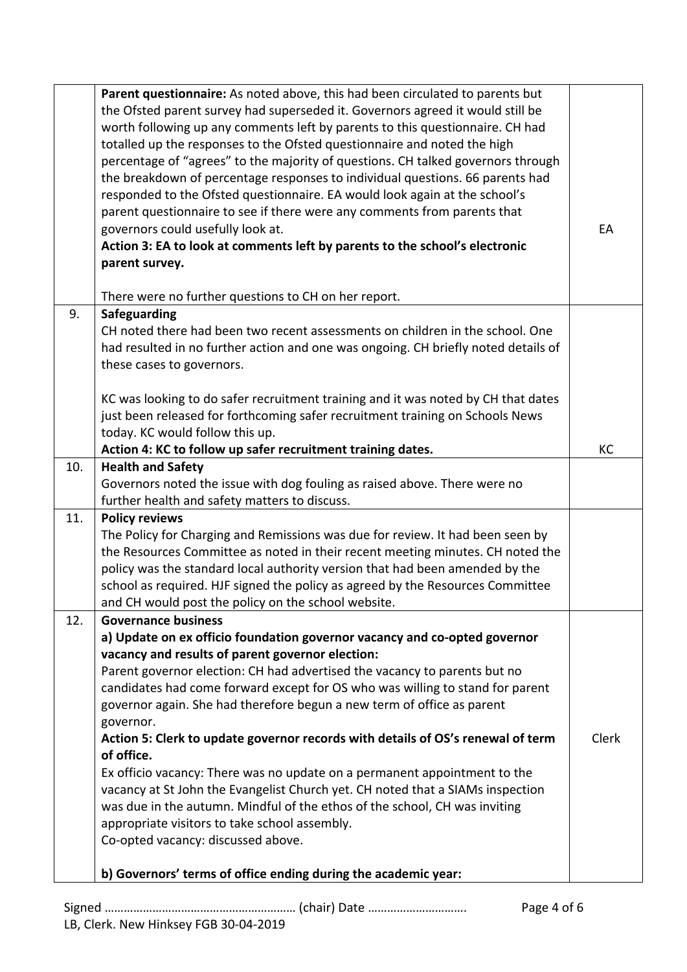|     | Parent questionnaire: As noted above, this had been circulated to parents but<br>the Ofsted parent survey had superseded it. Governors agreed it would still be<br>worth following up any comments left by parents to this questionnaire. CH had<br>totalled up the responses to the Ofsted questionnaire and noted the high<br>percentage of "agrees" to the majority of questions. CH talked governors through<br>the breakdown of percentage responses to individual questions. 66 parents had<br>responded to the Ofsted questionnaire. EA would look again at the school's<br>parent questionnaire to see if there were any comments from parents that<br>governors could usefully look at.<br>Action 3: EA to look at comments left by parents to the school's electronic<br>parent survey.                                                                                                                       | EA    |
|-----|-------------------------------------------------------------------------------------------------------------------------------------------------------------------------------------------------------------------------------------------------------------------------------------------------------------------------------------------------------------------------------------------------------------------------------------------------------------------------------------------------------------------------------------------------------------------------------------------------------------------------------------------------------------------------------------------------------------------------------------------------------------------------------------------------------------------------------------------------------------------------------------------------------------------------|-------|
|     | There were no further questions to CH on her report.                                                                                                                                                                                                                                                                                                                                                                                                                                                                                                                                                                                                                                                                                                                                                                                                                                                                    |       |
| 9.  | <b>Safeguarding</b><br>CH noted there had been two recent assessments on children in the school. One<br>had resulted in no further action and one was ongoing. CH briefly noted details of<br>these cases to governors.                                                                                                                                                                                                                                                                                                                                                                                                                                                                                                                                                                                                                                                                                                 |       |
|     | KC was looking to do safer recruitment training and it was noted by CH that dates<br>just been released for forthcoming safer recruitment training on Schools News<br>today. KC would follow this up.                                                                                                                                                                                                                                                                                                                                                                                                                                                                                                                                                                                                                                                                                                                   |       |
| 10. | Action 4: KC to follow up safer recruitment training dates.<br><b>Health and Safety</b>                                                                                                                                                                                                                                                                                                                                                                                                                                                                                                                                                                                                                                                                                                                                                                                                                                 | КC    |
|     | Governors noted the issue with dog fouling as raised above. There were no<br>further health and safety matters to discuss.                                                                                                                                                                                                                                                                                                                                                                                                                                                                                                                                                                                                                                                                                                                                                                                              |       |
| 11. | <b>Policy reviews</b><br>The Policy for Charging and Remissions was due for review. It had been seen by<br>the Resources Committee as noted in their recent meeting minutes. CH noted the<br>policy was the standard local authority version that had been amended by the<br>school as required. HJF signed the policy as agreed by the Resources Committee<br>and CH would post the policy on the school website.                                                                                                                                                                                                                                                                                                                                                                                                                                                                                                      |       |
| 12. | <b>Governance business</b><br>a) Update on ex officio foundation governor vacancy and co-opted governor<br>vacancy and results of parent governor election:<br>Parent governor election: CH had advertised the vacancy to parents but no<br>candidates had come forward except for OS who was willing to stand for parent<br>governor again. She had therefore begun a new term of office as parent<br>governor.<br>Action 5: Clerk to update governor records with details of OS's renewal of term<br>of office.<br>Ex officio vacancy: There was no update on a permanent appointment to the<br>vacancy at St John the Evangelist Church yet. CH noted that a SIAMs inspection<br>was due in the autumn. Mindful of the ethos of the school, CH was inviting<br>appropriate visitors to take school assembly.<br>Co-opted vacancy: discussed above.<br>b) Governors' terms of office ending during the academic year: | Clerk |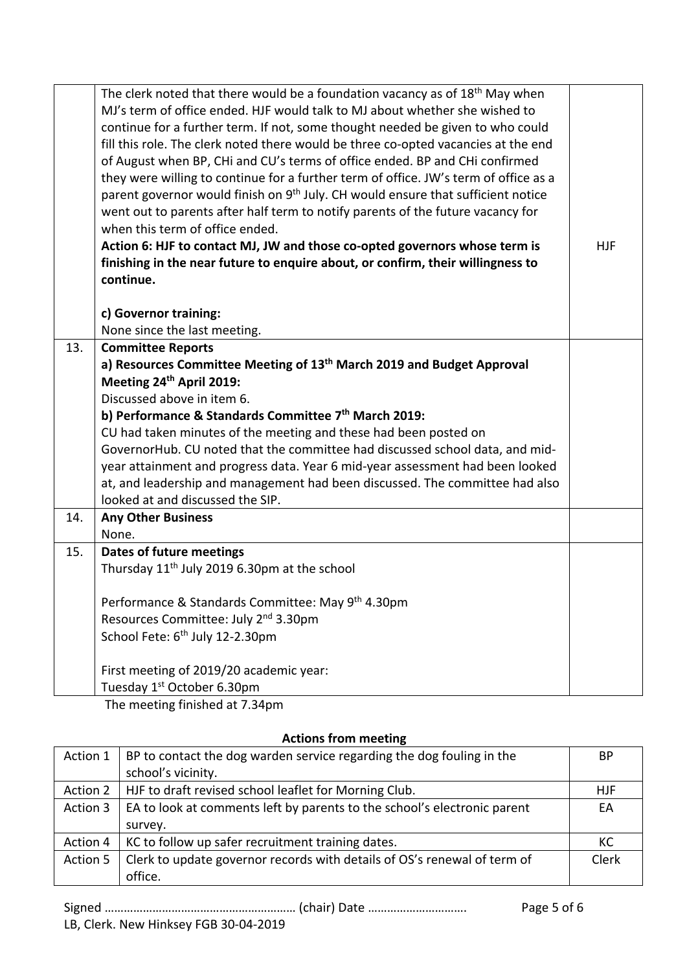|     | The clerk noted that there would be a foundation vacancy as of 18 <sup>th</sup> May when<br>MJ's term of office ended. HJF would talk to MJ about whether she wished to<br>continue for a further term. If not, some thought needed be given to who could<br>fill this role. The clerk noted there would be three co-opted vacancies at the end<br>of August when BP, CHi and CU's terms of office ended. BP and CHi confirmed<br>they were willing to continue for a further term of office. JW's term of office as a<br>parent governor would finish on 9 <sup>th</sup> July. CH would ensure that sufficient notice<br>went out to parents after half term to notify parents of the future vacancy for<br>when this term of office ended.<br>Action 6: HJF to contact MJ, JW and those co-opted governors whose term is<br>finishing in the near future to enquire about, or confirm, their willingness to<br>continue. | <b>HJF</b> |
|-----|----------------------------------------------------------------------------------------------------------------------------------------------------------------------------------------------------------------------------------------------------------------------------------------------------------------------------------------------------------------------------------------------------------------------------------------------------------------------------------------------------------------------------------------------------------------------------------------------------------------------------------------------------------------------------------------------------------------------------------------------------------------------------------------------------------------------------------------------------------------------------------------------------------------------------|------------|
|     | c) Governor training:                                                                                                                                                                                                                                                                                                                                                                                                                                                                                                                                                                                                                                                                                                                                                                                                                                                                                                      |            |
|     | None since the last meeting.                                                                                                                                                                                                                                                                                                                                                                                                                                                                                                                                                                                                                                                                                                                                                                                                                                                                                               |            |
| 13. | <b>Committee Reports</b>                                                                                                                                                                                                                                                                                                                                                                                                                                                                                                                                                                                                                                                                                                                                                                                                                                                                                                   |            |
|     | a) Resources Committee Meeting of 13 <sup>th</sup> March 2019 and Budget Approval                                                                                                                                                                                                                                                                                                                                                                                                                                                                                                                                                                                                                                                                                                                                                                                                                                          |            |
|     | Meeting 24 <sup>th</sup> April 2019:                                                                                                                                                                                                                                                                                                                                                                                                                                                                                                                                                                                                                                                                                                                                                                                                                                                                                       |            |
|     | Discussed above in item 6.                                                                                                                                                                                                                                                                                                                                                                                                                                                                                                                                                                                                                                                                                                                                                                                                                                                                                                 |            |
|     | b) Performance & Standards Committee 7 <sup>th</sup> March 2019:                                                                                                                                                                                                                                                                                                                                                                                                                                                                                                                                                                                                                                                                                                                                                                                                                                                           |            |
|     | CU had taken minutes of the meeting and these had been posted on                                                                                                                                                                                                                                                                                                                                                                                                                                                                                                                                                                                                                                                                                                                                                                                                                                                           |            |
|     | GovernorHub. CU noted that the committee had discussed school data, and mid-                                                                                                                                                                                                                                                                                                                                                                                                                                                                                                                                                                                                                                                                                                                                                                                                                                               |            |
|     | year attainment and progress data. Year 6 mid-year assessment had been looked                                                                                                                                                                                                                                                                                                                                                                                                                                                                                                                                                                                                                                                                                                                                                                                                                                              |            |
|     | at, and leadership and management had been discussed. The committee had also                                                                                                                                                                                                                                                                                                                                                                                                                                                                                                                                                                                                                                                                                                                                                                                                                                               |            |
|     | looked at and discussed the SIP.                                                                                                                                                                                                                                                                                                                                                                                                                                                                                                                                                                                                                                                                                                                                                                                                                                                                                           |            |
| 14. | <b>Any Other Business</b>                                                                                                                                                                                                                                                                                                                                                                                                                                                                                                                                                                                                                                                                                                                                                                                                                                                                                                  |            |
|     | None.                                                                                                                                                                                                                                                                                                                                                                                                                                                                                                                                                                                                                                                                                                                                                                                                                                                                                                                      |            |
| 15. | Dates of future meetings                                                                                                                                                                                                                                                                                                                                                                                                                                                                                                                                                                                                                                                                                                                                                                                                                                                                                                   |            |
|     | Thursday 11 <sup>th</sup> July 2019 6.30pm at the school                                                                                                                                                                                                                                                                                                                                                                                                                                                                                                                                                                                                                                                                                                                                                                                                                                                                   |            |
|     |                                                                                                                                                                                                                                                                                                                                                                                                                                                                                                                                                                                                                                                                                                                                                                                                                                                                                                                            |            |
|     | Performance & Standards Committee: May 9 <sup>th</sup> 4.30pm                                                                                                                                                                                                                                                                                                                                                                                                                                                                                                                                                                                                                                                                                                                                                                                                                                                              |            |
|     | Resources Committee: July 2 <sup>nd</sup> 3.30pm                                                                                                                                                                                                                                                                                                                                                                                                                                                                                                                                                                                                                                                                                                                                                                                                                                                                           |            |
|     | School Fete: 6 <sup>th</sup> July 12-2.30pm                                                                                                                                                                                                                                                                                                                                                                                                                                                                                                                                                                                                                                                                                                                                                                                                                                                                                |            |
|     |                                                                                                                                                                                                                                                                                                                                                                                                                                                                                                                                                                                                                                                                                                                                                                                                                                                                                                                            |            |
|     | First meeting of 2019/20 academic year:                                                                                                                                                                                                                                                                                                                                                                                                                                                                                                                                                                                                                                                                                                                                                                                                                                                                                    |            |
|     | Tuesday 1 <sup>st</sup> October 6.30pm                                                                                                                                                                                                                                                                                                                                                                                                                                                                                                                                                                                                                                                                                                                                                                                                                                                                                     |            |

The meeting finished at 7.34pm

| Action 1 | BP to contact the dog warden service regarding the dog fouling in the    | BP         |
|----------|--------------------------------------------------------------------------|------------|
|          | school's vicinity.                                                       |            |
| Action 2 | HJF to draft revised school leaflet for Morning Club.                    | <b>HJF</b> |
| Action 3 | EA to look at comments left by parents to the school's electronic parent | EA         |
|          | survey.                                                                  |            |
| Action 4 | KC to follow up safer recruitment training dates.                        | KC         |
| Action 5 | Clerk to update governor records with details of OS's renewal of term of | Clerk      |
|          | office.                                                                  |            |

## **Actions from meeting**